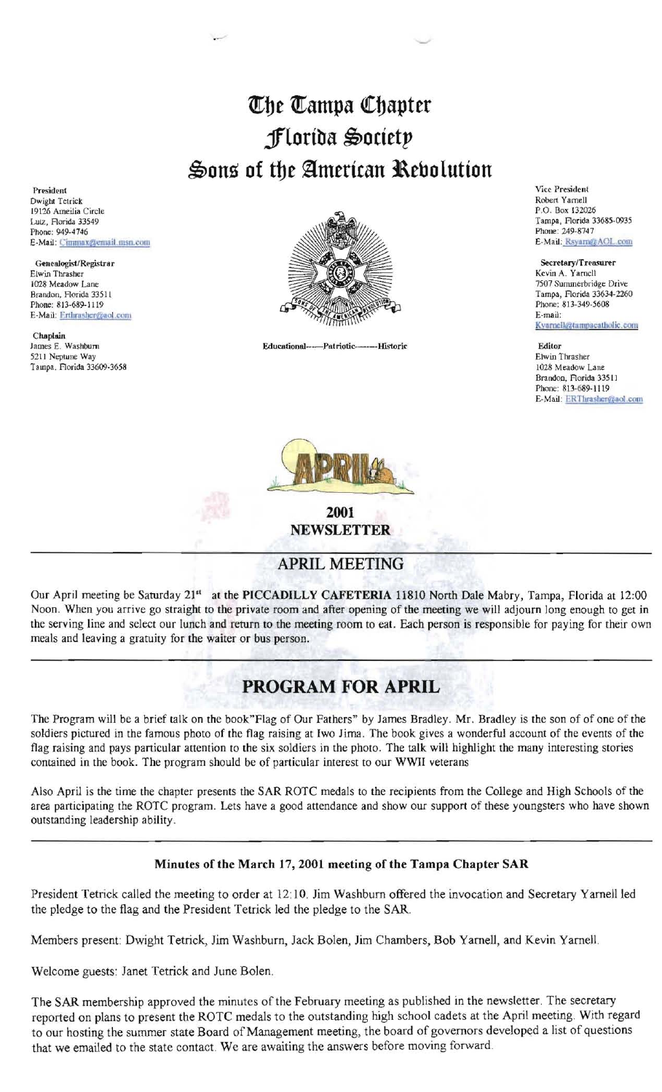## The Tampa Chapter jflortba \$octetp Sons of the American Rebolution

President Dwight Tetrick 19126 Ameilia Circle Lutz, Rorida 33549 Phone: 949-4746 E-Mail: Cimmax@email.msn.com

Elwin Thrasher Genealogist/Registrar

Chaplain<br>James E. Washburn 5211 Neptune Way Elwin Thrasher Tampa. Florida 33609-3658



James E. Washburn Educational---.PatriQtic-----Historic Editor

Vice President Robert Yarnell P.O. Box 132026 Tampa, Florida 33685-0935 Phone: 249-8747 E-Mail: Rsyarn@AOL.com

Secretary/Treasurer Kevin A. Yarnell 7507 Summerbridge Drive Kyarnell@tampacatholic.com

Brandon, Rorida 33511 Phone: 813-689-1119 E-Mail: ERThrasher@aol.com



2001 NEWSLETTER

## APRIL MEETING

Our April meeting be Saturday 21<sup>st</sup> at the PICCADILLY CAFETERIA 11810 North Dale Mabry, Tampa, Florida at 12:00 Noon. When you arrive go straight to the private room and after opening of the meeting we will adjourn long enough to get in the serving line and select our lunch and return to the meeting room to eat. Each person is responsible for paying for their own meals and leaving a gratuity for the waiter or bus person.

## PROGRAM FOR APRIL

The Program will be a brief talk on the book"Flag of Our Fathers" by James Bradley. Mr. Bradley is the son of of one of the soldiers pictured in the famous photo of the flag raising at Iwo Jima. The book gives a wonderful account of the events of the flag raising and pays particular attention to the six soldiers in the photo. The talk will highlight the many interesting stories contained in the book. The program should be of particular interest to our WWII veterans

Also April is the time the chapter presents the SAR ROTC medals to the recipients from the College and High Schools of the area participating the ROTC program. Lets have a good attendance and show our support of these youngsters who have shown outstanding leadership ability.

## Minutes of the March 17, 2001 meeting of the Tampa Chapter SAR

President Tetrick called the meeting to order at 12:10. Jim Washburn offered the invocation and Secretary Yarnell led the pledge to the flag and the President Tetrick led the pledge to the SAR.

Members present: Dwight Tetrick, Jim Washburn, Jack Bolen, Jim Chambers, Bob Yarnell, and Kevin Yarnell.

Welcome guests: Janet Tetrick and June Bolen.

The SAR membership approved the minutes of the February meeting as published in the newsletter. The secretary reported on plans to present the ROTC medals to the outstanding high school cadets at the April meeting With regard to our hosting the summer state Board of Management meeting, the board of governors developed a list of questions that we emailed to the state contact. We are awaiting the answers before moving forward.